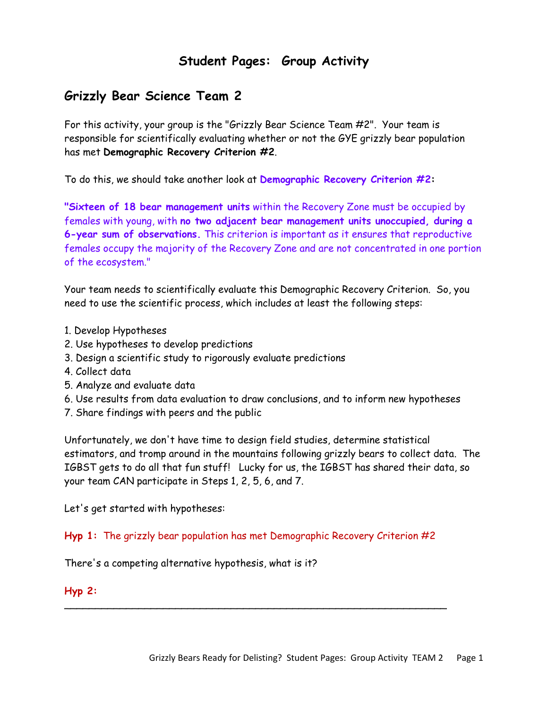# **Student Pages: Group Activity**

# **Grizzly Bear Science Team 2**

For this activity, your group is the "Grizzly Bear Science Team #2". Your team is responsible for scientifically evaluating whether or not the GYE grizzly bear population has met **Demographic Recovery Criterion #2**.

To do this, we should take another look at **Demographic Recovery Criterion #2:**

**"Sixteen of 18 bear management units** within the Recovery Zone must be occupied by females with young, with **no two adjacent bear management units unoccupied, during a 6-year sum of observations.** This criterion is important as it ensures that reproductive females occupy the majority of the Recovery Zone and are not concentrated in one portion of the ecosystem."

Your team needs to scientifically evaluate this Demographic Recovery Criterion. So, you need to use the scientific process, which includes at least the following steps:

- 1. Develop Hypotheses
- 2. Use hypotheses to develop predictions
- 3. Design a scientific study to rigorously evaluate predictions
- 4. Collect data
- 5. Analyze and evaluate data
- 6. Use results from data evaluation to draw conclusions, and to inform new hypotheses
- 7. Share findings with peers and the public

Unfortunately, we don't have time to design field studies, determine statistical estimators, and tromp around in the mountains following grizzly bears to collect data. The IGBST gets to do all that fun stuff! Lucky for us, the IGBST has shared their data, so your team CAN participate in Steps 1, 2, 5, 6, and 7.

Let's get started with hypotheses:

**Hyp 1:** The grizzly bear population has met Demographic Recovery Criterion #2

\_\_\_\_\_\_\_\_\_\_\_\_\_\_\_\_\_\_\_\_\_\_\_\_\_\_\_\_\_\_\_\_\_\_\_\_\_\_\_\_\_\_\_\_\_\_\_\_\_\_\_\_\_\_\_\_\_\_\_\_\_\_

There's a competing alternative hypothesis, what is it?

**Hyp 2:**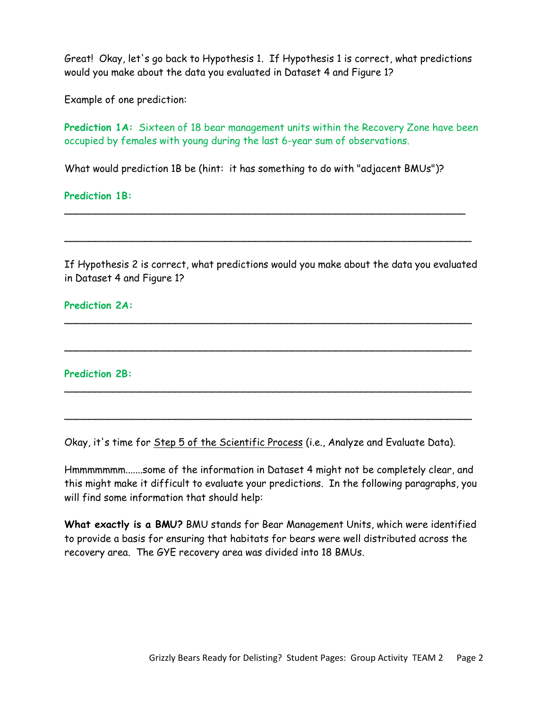Great! Okay, let's go back to Hypothesis 1. If Hypothesis 1 is correct, what predictions would you make about the data you evaluated in Dataset 4 and Figure 1?

Example of one prediction:

Prediction 1A: Sixteen of 18 bear management units within the Recovery Zone have been occupied by females with young during the last 6-year sum of observations.

What would prediction 1B be (hint: it has something to do with "adjacent BMUs")?

\_\_\_\_\_\_\_\_\_\_\_\_\_\_\_\_\_\_\_\_\_\_\_\_\_\_\_\_\_\_\_\_\_\_\_\_\_\_\_\_\_\_\_\_\_\_\_\_\_\_\_\_\_\_\_\_\_\_\_\_\_\_\_\_\_

 $\overline{\phantom{a}}$ 

**Prediction 1B:**

If Hypothesis 2 is correct, what predictions would you make about the data you evaluated in Dataset 4 and Figure 1?

\_\_\_\_\_\_\_\_\_\_\_\_\_\_\_\_\_\_\_\_\_\_\_\_\_\_\_\_\_\_\_\_\_\_\_\_\_\_\_\_\_\_\_\_\_\_\_\_\_\_\_\_\_\_\_\_\_\_\_\_\_\_\_\_\_\_

 $\overline{\phantom{a}}$ 

 $\mathcal{L} = \{ \mathcal{L} \mid \mathcal{L} \in \mathcal{L} \}$ 

 $\mathcal{L}_\text{G}$  , and the contribution of the contribution of the contribution of the contribution of the contribution of the contribution of the contribution of the contribution of the contribution of the contribution of t

**Prediction 2A:**

**Prediction 2B:**

Okay, it's time for Step 5 of the Scientific Process (i.e., Analyze and Evaluate Data).

Hmmmmmmm.......some of the information in Dataset 4 might not be completely clear, and this might make it difficult to evaluate your predictions. In the following paragraphs, you will find some information that should help:

**What exactly is a BMU?** BMU stands for Bear Management Units, which were identified to provide a basis for ensuring that habitats for bears were well distributed across the recovery area. The GYE recovery area was divided into 18 BMUs.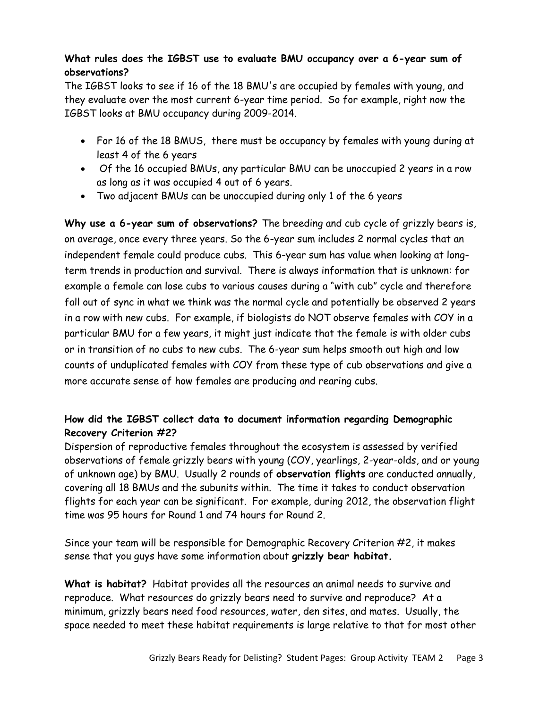## **What rules does the IGBST use to evaluate BMU occupancy over a 6-year sum of observations?**

The IGBST looks to see if 16 of the 18 BMU's are occupied by females with young, and they evaluate over the most current 6-year time period. So for example, right now the IGBST looks at BMU occupancy during 2009-2014.

- For 16 of the 18 BMUS, there must be occupancy by females with young during at least 4 of the 6 years
- Of the 16 occupied BMUs, any particular BMU can be unoccupied 2 years in a row as long as it was occupied 4 out of 6 years.
- Two adjacent BMUs can be unoccupied during only 1 of the 6 years

**Why use a 6-year sum of observations?** The breeding and cub cycle of grizzly bears is, on average, once every three years. So the 6-year sum includes 2 normal cycles that an independent female could produce cubs. This 6-year sum has value when looking at longterm trends in production and survival. There is always information that is unknown: for example a female can lose cubs to various causes during a "with cub" cycle and therefore fall out of sync in what we think was the normal cycle and potentially be observed 2 years in a row with new cubs. For example, if biologists do NOT observe females with COY in a particular BMU for a few years, it might just indicate that the female is with older cubs or in transition of no cubs to new cubs. The 6-year sum helps smooth out high and low counts of unduplicated females with COY from these type of cub observations and give a more accurate sense of how females are producing and rearing cubs.

## **How did the IGBST collect data to document information regarding Demographic Recovery Criterion #2?**

Dispersion of reproductive females throughout the ecosystem is assessed by verified observations of female grizzly bears with young (COY, yearlings, 2-year-olds, and or young of unknown age) by BMU. Usually 2 rounds of **observation flights** are conducted annually, covering all 18 BMUs and the subunits within. The time it takes to conduct observation flights for each year can be significant. For example, during 2012, the observation flight time was 95 hours for Round 1 and 74 hours for Round 2.

Since your team will be responsible for Demographic Recovery Criterion #2, it makes sense that you guys have some information about **grizzly bear habitat.**

**What is habitat?** Habitat provides all the resources an animal needs to survive and reproduce. What resources do grizzly bears need to survive and reproduce? At a minimum, grizzly bears need food resources, water, den sites, and mates. Usually, the space needed to meet these habitat requirements is large relative to that for most other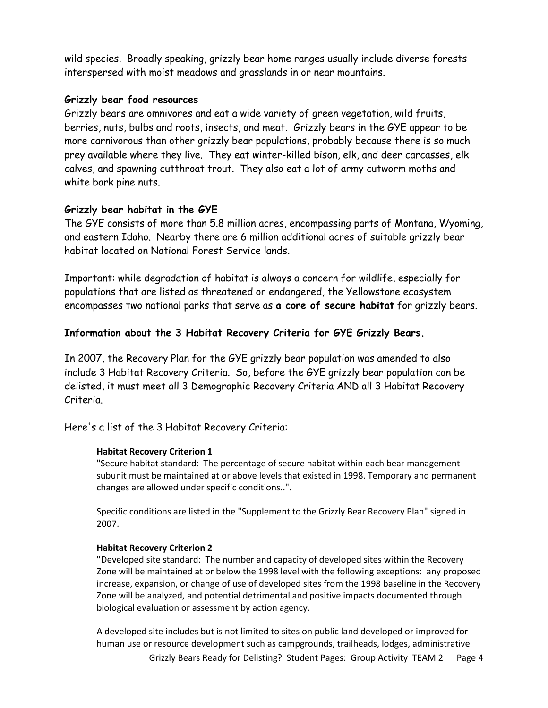wild species. Broadly speaking, grizzly bear home ranges usually include diverse forests interspersed with moist meadows and grasslands in or near mountains.

### **Grizzly bear food resources**

Grizzly bears are omnivores and eat a wide variety of green vegetation, wild fruits, berries, nuts, bulbs and roots, insects, and meat. Grizzly bears in the GYE appear to be more carnivorous than other grizzly bear populations, probably because there is so much prey available where they live. They eat winter-killed bison, elk, and deer carcasses, elk calves, and spawning cutthroat trout. They also eat a lot of army cutworm moths and white bark pine nuts.

#### **Grizzly bear habitat in the GYE**

The GYE consists of more than 5.8 million acres, encompassing parts of Montana, Wyoming, and eastern Idaho. Nearby there are 6 million additional acres of suitable grizzly bear habitat located on National Forest Service lands.

Important: while degradation of habitat is always a concern for wildlife, especially for populations that are listed as threatened or endangered, the Yellowstone ecosystem encompasses two national parks that serve as **a core of secure habitat** for grizzly bears.

#### **Information about the 3 Habitat Recovery Criteria for GYE Grizzly Bears.**

In 2007, the Recovery Plan for the GYE grizzly bear population was amended to also include 3 Habitat Recovery Criteria. So, before the GYE grizzly bear population can be delisted, it must meet all 3 Demographic Recovery Criteria AND all 3 Habitat Recovery Criteria.

Here's a list of the 3 Habitat Recovery Criteria:

#### **Habitat Recovery Criterion 1**

"Secure habitat standard: The percentage of secure habitat within each bear management subunit must be maintained at or above levels that existed in 1998. Temporary and permanent changes are allowed under specific conditions..".

Specific conditions are listed in the "Supplement to the Grizzly Bear Recovery Plan" signed in 2007.

#### **Habitat Recovery Criterion 2**

**"**Developed site standard: The number and capacity of developed sites within the Recovery Zone will be maintained at or below the 1998 level with the following exceptions: any proposed increase, expansion, or change of use of developed sites from the 1998 baseline in the Recovery Zone will be analyzed, and potential detrimental and positive impacts documented through biological evaluation or assessment by action agency.

Grizzly Bears Ready for Delisting? Student Pages: Group Activity TEAM 2 Page 4 A developed site includes but is not limited to sites on public land developed or improved for human use or resource development such as campgrounds, trailheads, lodges, administrative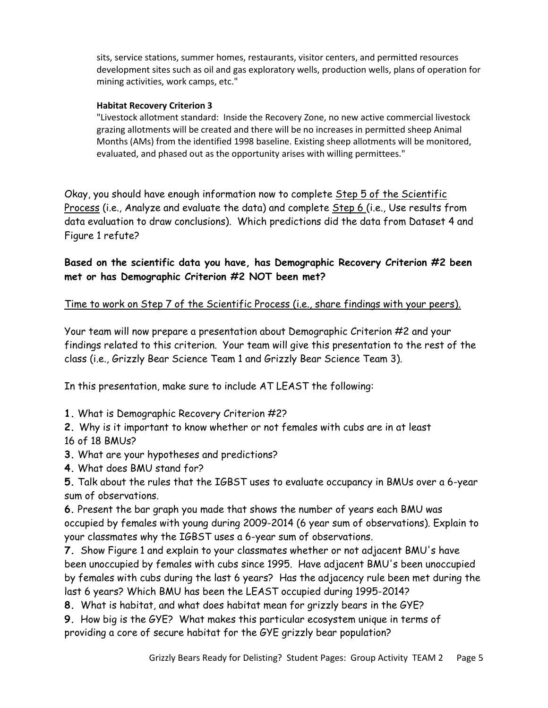sits, service stations, summer homes, restaurants, visitor centers, and permitted resources development sites such as oil and gas exploratory wells, production wells, plans of operation for mining activities, work camps, etc."

#### **Habitat Recovery Criterion 3**

"Livestock allotment standard: Inside the Recovery Zone, no new active commercial livestock grazing allotments will be created and there will be no increases in permitted sheep Animal Months (AMs) from the identified 1998 baseline. Existing sheep allotments will be monitored, evaluated, and phased out as the opportunity arises with willing permittees."

Okay, you should have enough information now to complete Step 5 of the Scientific Process (i.e., Analyze and evaluate the data) and complete Step 6 (i.e., Use results from data evaluation to draw conclusions). Which predictions did the data from Dataset 4 and Figure 1 refute?

**Based on the scientific data you have, has Demographic Recovery Criterion #2 been met or has Demographic Criterion #2 NOT been met?** 

#### Time to work on Step 7 of the Scientific Process (i.e., share findings with your peers).

Your team will now prepare a presentation about Demographic Criterion #2 and your findings related to this criterion. Your team will give this presentation to the rest of the class (i.e., Grizzly Bear Science Team 1 and Grizzly Bear Science Team 3).

In this presentation, make sure to include AT LEAST the following:

**1.** What is Demographic Recovery Criterion #2?

**2.** Why is it important to know whether or not females with cubs are in at least 16 of 18 BMUs?

**3.** What are your hypotheses and predictions?

**4.** What does BMU stand for?

**5.** Talk about the rules that the IGBST uses to evaluate occupancy in BMUs over a 6-year sum of observations.

**6.** Present the bar graph you made that shows the number of years each BMU was occupied by females with young during 2009-2014 (6 year sum of observations). Explain to your classmates why the IGBST uses a 6-year sum of observations.

**7.** Show Figure 1 and explain to your classmates whether or not adjacent BMU's have been unoccupied by females with cubs since 1995. Have adjacent BMU's been unoccupied by females with cubs during the last 6 years? Has the adjacency rule been met during the last 6 years? Which BMU has been the LEAST occupied during 1995-2014?

**8.** What is habitat, and what does habitat mean for grizzly bears in the GYE?

**9.** How big is the GYE? What makes this particular ecosystem unique in terms of providing a core of secure habitat for the GYE grizzly bear population?